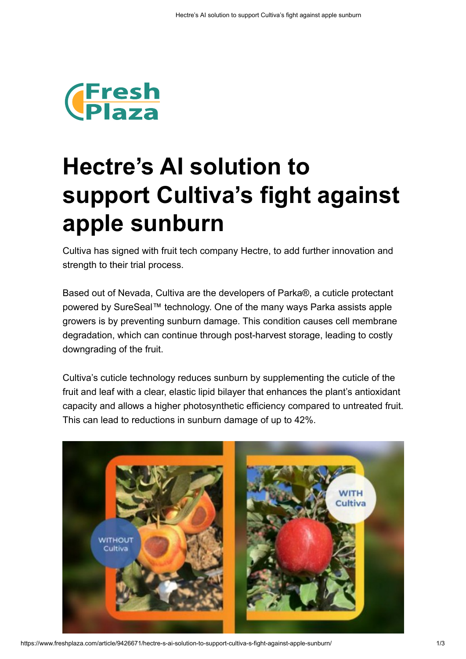

## **Hectre's AI solution to support Cultiva's fight against apple sunburn**

Cultiva has signed with fruit tech company Hectre, to add further innovation and strength to their trial process.

Based out of Nevada, Cultiva are the developers of Parka®, a cuticle protectant powered by SureSeal™ technology. One of the many ways Parka assists apple growers is by preventing sunburn damage. This condition causes cell membrane degradation, which can continue through post-harvest storage, leading to costly downgrading of the fruit.

Cultiva's cuticle technology reduces sunburn by supplementing the cuticle of the fruit and leaf with a clear, elastic lipid bilayer that enhances the plant's antioxidant capacity and allows a higher photosynthetic efficiency compared to untreated fruit. This can lead to reductions in sunburn damage of up to 42%.



https://www.freshplaza.com/article/9426671/hectre-s-ai-solution-to-support-cultiva-s-fight-against-apple-sunburn/ 1/3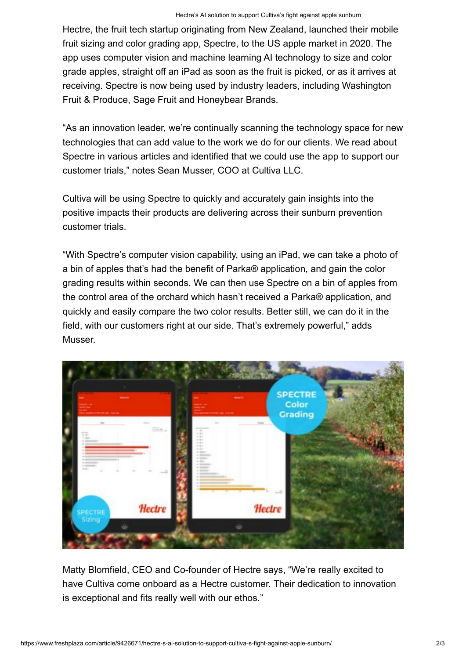Hectre, the fruit tech startup originating from New Zealand, launched their mobile fruit sizing and color grading app, Spectre, to the US apple market in 2020. The app uses computer vision and machine learning AI technology to size and color grade apples, straight off an iPad as soon as the fruit is picked, or as it arrives at receiving. Spectre is now being used by industry leaders, including Washington Fruit & Produce, Sage Fruit and Honeybear Brands.

"As an innovation leader, we're continually scanning the technology space for new technologies that can add value to the work we do for our clients. We read about Spectre in various articles and identified that we could use the app to support our customer trials," notes Sean Musser, COO at Cultiva LLC.

Cultiva will be using Spectre to quickly and accurately gain insights into the positive impacts their products are delivering across their sunburn prevention customer trials.

"With Spectre's computer vision capability, using an iPad, we can take a photo of a bin of apples that's had the benefit of Parka® application, and gain the color grading results within seconds. We can then use Spectre on a bin of apples from the control area of the orchard which hasn't received a Parka® application, and quickly and easily compare the two color results. Better still, we can do it in the field, with our customers right at our side. That's extremely powerful," adds Musser.



Matty Blomfield, CEO and Co-founder of Hectre says, "We're really excited to have Cultiva come onboard as a Hectre customer. Their dedication to innovation is exceptional and fits really well with our ethos."